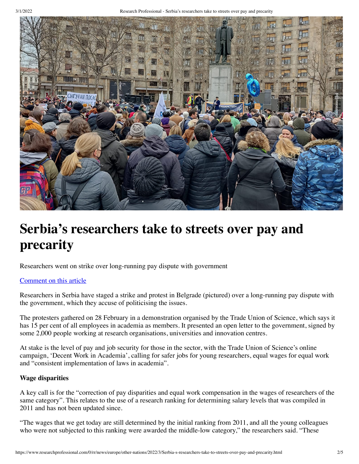

# **Serbia's researchers take to streets over pay and precarity**

Researchers went on strike over long-running pay dispute with government

### [Comment on this article](#page-2-0)

Researchers in Serbia have staged a strike and protest in Belgrade (pictured) over a long-running pay dispute with the government, which they accuse of politicising the issues.

The protesters gathered on 28 February in a demonstration organised by the Trade Union of Science, which says it has 15 per cent of all employees in academia as members. It presented an open letter to the government, signed by some 2,000 people working at research organisations, universities and innovation centres.

At stake is the level of pay and job security for those in the sector, with the Trade Union of Science's online campaign, 'Decent Work in Academia', calling for safer jobs for young researchers, equal wages for equal work and "consistent implementation of laws in academia".

#### **Wage disparities**

A key call is for the "correction of pay disparities and equal work compensation in the wages of researchers of the same category". This relates to the use of a research ranking for determining salary levels that was compiled in 2011 and has not been updated since.

"The wages that we get today are still determined by the initial ranking from 2011, and all the young colleagues who were not subjected to this ranking were awarded the middle-low category," the researchers said. "These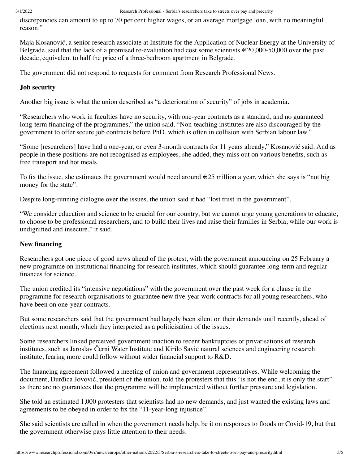discrepancies can amount to up to 70 per cent higher wages, or an average mortgage loan, with no meaningful reason."

Maja Kosanović, a senior research associate at Institute for the Application of Nuclear Energy at the University of Belgrade, said that the lack of a promised re-evaluation had cost some scientists  $\epsilon$  20,000-50,000 over the past decade, equivalent to half the price of a three-bedroom apartment in Belgrade.

The government did not respond to requests for comment from Research Professional News.

# **Job security**

Another big issue is what the union described as "a deterioration of security" of jobs in academia.

"Researchers who work in faculties have no security, with one-year contracts as a standard, and no guaranteed long-term financing of the programmes," the union said. "Non-teaching institutes are also discouraged by the government to offer secure job contracts before PhD, which is often in collision with Serbian labour law."

"Some [researchers] have had a one-year, or even 3-month contracts for 11 years already," Kosanović said. And as people in these positions are not recognised as employees, she added, they miss out on various benefits, such as free transport and hot meals.

To fix the issue, she estimates the government would need around  $\epsilon$ 25 million a year, which she says is "not big money for the state".

Despite long-running dialogue over the issues, the union said it had "lost trust in the government".

"We consider education and science to be crucial for our country, but we cannot urge young generations to educate, to choose to be professional researchers, and to build their lives and raise their families in Serbia, while our work is undignified and insecure," it said.

## **New financing**

Researchers got one piece of good news ahead of the protest, with the government announcing on 25 February a new programme on institutional financing for research institutes, which should guarantee long-term and regular finances for science.

The union credited its "intensive negotiations" with the government over the past week for a clause in the programme for research organisations to guarantee new five-year work contracts for all young researchers, who have been on one-year contracts.

But some researchers said that the government had largely been silent on their demands until recently, ahead of elections next month, which they interpreted as a politicisation of the issues.

Some researchers linked perceived government inaction to recent bankruptcies or privatisations of research institutes, such as Jaroslav Černi Water Institute and Kirilo Savić natural sciences and engineering research institute, fearing more could follow without wider financial support to R&D.

The financing agreement followed a meeting of union and government representatives. While welcoming the document, Đurđica Jovović, president of the union, told the protesters that this "is not the end, it is only the start" as there are no guarantees that the programme will be implemented without further pressure and legislation.

She told an estimated 1,000 protesters that scientists had no new demands, and just wanted the existing laws and agreements to be obeyed in order to fix the "11-year-long injustice".

She said scientists are called in when the government needs help, be it on responses to floods or Covid-19, but that the government otherwise pays little attention to their needs.